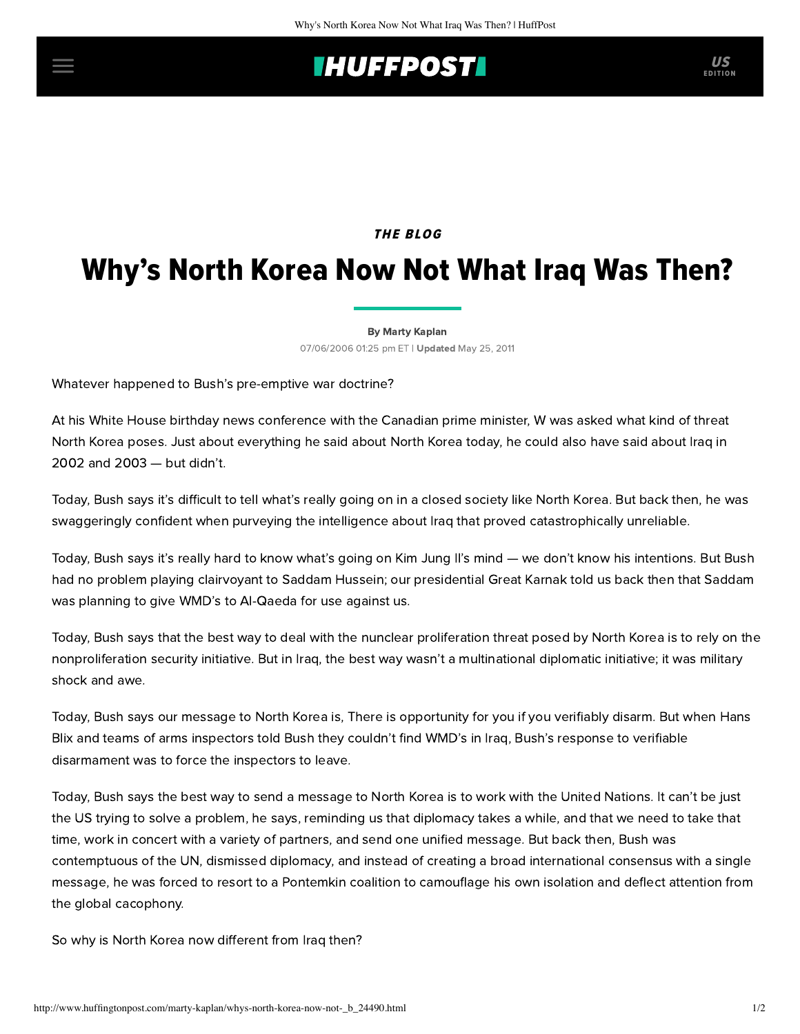## **IHUFFPOSTI** US

### THE BLOG

# Why's North Korea Now Not What Iraq Was Then?

#### [By Marty Kaplan](http://www.huffingtonpost.com/author/marty-kaplan)

07/06/2006 01:25 pm ET | Updated May 25, 2011

Whatever happened to Bush's pre-emptive war doctrine?

At his White House birthday news conference with the Canadian prime minister, W was asked what kind of threat North Korea poses. Just about everything he said about North Korea today, he could also have said about Iraq in 2002 and 2003 — but didn't.

Today, Bush says it's difficult to tell what's really going on in a closed society like North Korea. But back then, he was swaggeringly confident when purveying the intelligence about Iraq that proved catastrophically unreliable.

Today, Bush says it's really hard to know what's going on Kim Jung Il's mind — we don't know his intentions. But Bush had no problem playing clairvoyant to Saddam Hussein; our presidential Great Karnak told us back then that Saddam was planning to give WMD's to Al-Qaeda for use against us.

Today, Bush says that the best way to deal with the nunclear proliferation threat posed by North Korea is to rely on the nonproliferation security initiative. But in Iraq, the best way wasn't a multinational diplomatic initiative; it was military shock and awe.

Today, Bush says our message to North Korea is, There is opportunity for you if you verifiably disarm. But when Hans Blix and teams of arms inspectors told Bush they couldn't find WMD's in Iraq, Bush's response to verifiable disarmament was to force the inspectors to leave.

Today, Bush says the best way to send a message to North Korea is to work with the United Nations. It can't be just the US trying to solve a problem, he says, reminding us that diplomacy takes a while, and that we need to take that time, work in concert with a variety of partners, and send one unified message. But back then, Bush was contemptuous of the UN, dismissed diplomacy, and instead of creating a broad international consensus with a single message, he was forced to resort to a Pontemkin coalition to camouflage his own isolation and deflect attention from the global cacophony.

So why is North Korea now different from Iraq then?